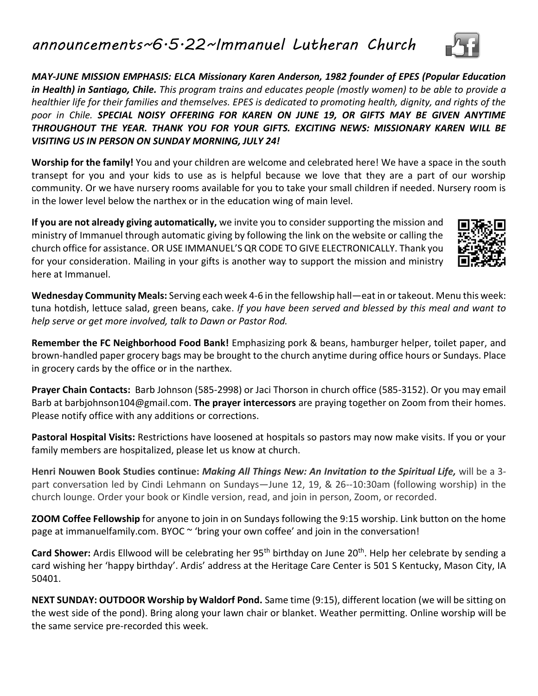*announcements~6.5.22~Immanuel Lutheran Church*

*MAY-JUNE MISSION EMPHASIS: ELCA Missionary Karen Anderson, 1982 founder of EPES (Popular Education in Health) in Santiago, Chile. This program trains and educates people (mostly women) to be able to provide a healthier life for their families and themselves. EPES is dedicated to promoting health, dignity, and rights of the poor in Chile. SPECIAL NOISY OFFERING FOR KAREN ON JUNE 19, OR GIFTS MAY BE GIVEN ANYTIME THROUGHOUT THE YEAR. THANK YOU FOR YOUR GIFTS. EXCITING NEWS: MISSIONARY KAREN WILL BE VISITING US IN PERSON ON SUNDAY MORNING, JULY 24!*

**Worship for the family!** You and your children are welcome and celebrated here! We have a space in the south transept for you and your kids to use as is helpful because we love that they are a part of our worship community. Or we have nursery rooms available for you to take your small children if needed. Nursery room is in the lower level below the narthex or in the education wing of main level.

**If you are not already giving automatically,** we invite you to consider supporting the mission and ministry of Immanuel through automatic giving by following the link on the website or calling the church office for assistance. OR USE IMMANUEL'S QR CODE TO GIVE ELECTRONICALLY. Thank you for your consideration. Mailing in your gifts is another way to support the mission and ministry here at Immanuel.

**Wednesday Community Meals:** Serving each week 4-6 in the fellowship hall—eat in or takeout. Menu this week: tuna hotdish, lettuce salad, green beans, cake. *If you have been served and blessed by this meal and want to help serve or get more involved, talk to Dawn or Pastor Rod.*

**Remember the FC Neighborhood Food Bank!** Emphasizing pork & beans, hamburger helper, toilet paper, and brown-handled paper grocery bags may be brought to the church anytime during office hours or Sundays. Place in grocery cards by the office or in the narthex.

**Prayer Chain Contacts:** Barb Johnson (585-2998) or Jaci Thorson in church office (585-3152). Or you may email Barb at barbjohnson104@gmail.com. **The prayer intercessors** are praying together on Zoom from their homes. Please notify office with any additions or corrections.

**Pastoral Hospital Visits:** Restrictions have loosened at hospitals so pastors may now make visits. If you or your family members are hospitalized, please let us know at church.

**Henri Nouwen Book Studies continue:** *Making All Things New: An Invitation to the Spiritual Life,* will be a 3 part conversation led by Cindi Lehmann on Sundays—June 12, 19, & 26--10:30am (following worship) in the church lounge. Order your book or Kindle version, read, and join in person, Zoom, or recorded.

**ZOOM Coffee Fellowship** for anyone to join in on Sundays following the 9:15 worship. Link button on the home page at immanuelfamily.com. BYOC ~ 'bring your own coffee' and join in the conversation!

Card Shower: Ardis Ellwood will be celebrating her 95<sup>th</sup> birthday on June 20<sup>th</sup>. Help her celebrate by sending a card wishing her 'happy birthday'. Ardis' address at the Heritage Care Center is 501 S Kentucky, Mason City, IA 50401.

**NEXT SUNDAY: OUTDOOR Worship by Waldorf Pond.** Same time (9:15), different location (we will be sitting on the west side of the pond). Bring along your lawn chair or blanket. Weather permitting. Online worship will be the same service pre-recorded this week.